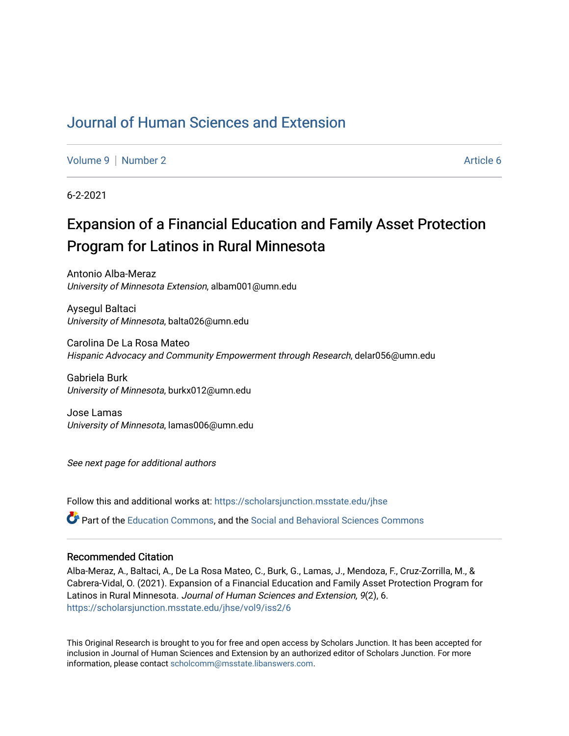# [Journal of Human Sciences and Extension](https://scholarsjunction.msstate.edu/jhse)

[Volume 9](https://scholarsjunction.msstate.edu/jhse/vol9) | [Number 2](https://scholarsjunction.msstate.edu/jhse/vol9/iss2) Article 6

6-2-2021

# Expansion of a Financial Education and Family Asset Protection Program for Latinos in Rural Minnesota

Antonio Alba-Meraz University of Minnesota Extension, albam001@umn.edu

Aysegul Baltaci University of Minnesota, balta026@umn.edu

Carolina De La Rosa Mateo Hispanic Advocacy and Community Empowerment through Research, delar056@umn.edu

Gabriela Burk University of Minnesota, burkx012@umn.edu

Jose Lamas University of Minnesota, lamas006@umn.edu

See next page for additional authors

Follow this and additional works at: [https://scholarsjunction.msstate.edu/jhse](https://scholarsjunction.msstate.edu/jhse?utm_source=scholarsjunction.msstate.edu%2Fjhse%2Fvol9%2Fiss2%2F6&utm_medium=PDF&utm_campaign=PDFCoverPages)

Part of the [Education Commons](http://network.bepress.com/hgg/discipline/784?utm_source=scholarsjunction.msstate.edu%2Fjhse%2Fvol9%2Fiss2%2F6&utm_medium=PDF&utm_campaign=PDFCoverPages), and the [Social and Behavioral Sciences Commons](http://network.bepress.com/hgg/discipline/316?utm_source=scholarsjunction.msstate.edu%2Fjhse%2Fvol9%2Fiss2%2F6&utm_medium=PDF&utm_campaign=PDFCoverPages) 

#### Recommended Citation

Alba-Meraz, A., Baltaci, A., De La Rosa Mateo, C., Burk, G., Lamas, J., Mendoza, F., Cruz-Zorrilla, M., & Cabrera-Vidal, O. (2021). Expansion of a Financial Education and Family Asset Protection Program for Latinos in Rural Minnesota. Journal of Human Sciences and Extension, 9(2), 6. [https://scholarsjunction.msstate.edu/jhse/vol9/iss2/6](https://scholarsjunction.msstate.edu/jhse/vol9/iss2/6?utm_source=scholarsjunction.msstate.edu%2Fjhse%2Fvol9%2Fiss2%2F6&utm_medium=PDF&utm_campaign=PDFCoverPages)

This Original Research is brought to you for free and open access by Scholars Junction. It has been accepted for inclusion in Journal of Human Sciences and Extension by an authorized editor of Scholars Junction. For more information, please contact [scholcomm@msstate.libanswers.com](mailto:scholcomm@msstate.libanswers.com).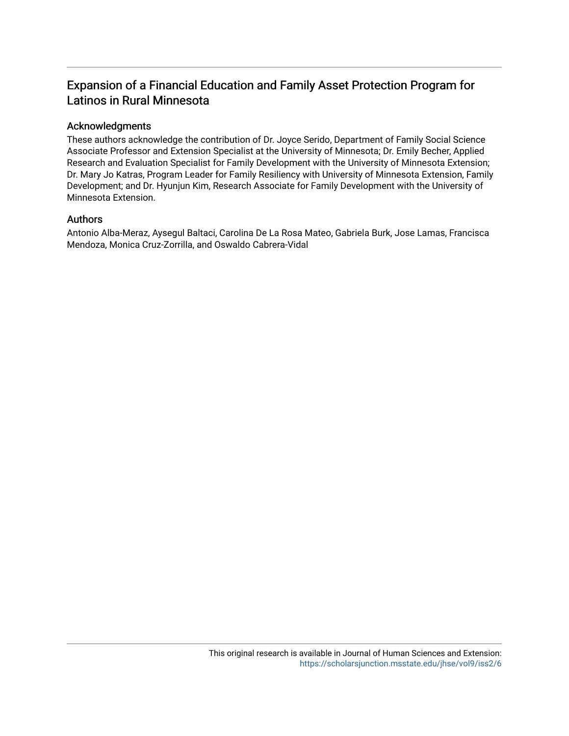## Expansion of a Financial Education and Family Asset Protection Program for Latinos in Rural Minnesota

#### Acknowledgments

These authors acknowledge the contribution of Dr. Joyce Serido, Department of Family Social Science Associate Professor and Extension Specialist at the University of Minnesota; Dr. Emily Becher, Applied Research and Evaluation Specialist for Family Development with the University of Minnesota Extension; Dr. Mary Jo Katras, Program Leader for Family Resiliency with University of Minnesota Extension, Family Development; and Dr. Hyunjun Kim, Research Associate for Family Development with the University of Minnesota Extension.

#### Authors

Antonio Alba-Meraz, Aysegul Baltaci, Carolina De La Rosa Mateo, Gabriela Burk, Jose Lamas, Francisca Mendoza, Monica Cruz-Zorrilla, and Oswaldo Cabrera-Vidal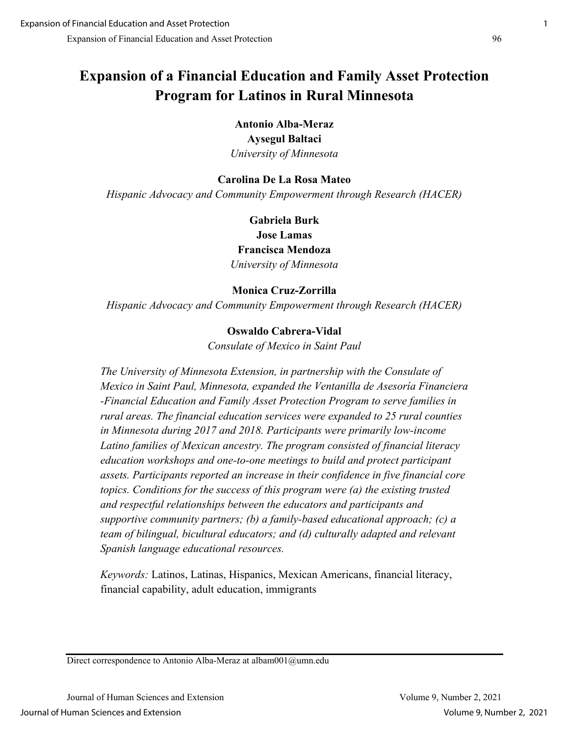# **Expansion of a Financial Education and Family Asset Protection Program for Latinos in Rural Minnesota**

**Antonio Alba-Meraz Aysegul Baltaci**  *University of Minnesota* 

## **Carolina De La Rosa Mateo**

*Hispanic Advocacy and Community Empowerment through Research (HACER)*

**Gabriela Burk Jose Lamas Francisca Mendoza** *University of Minnesota* 

## **Monica Cruz-Zorrilla**

*Hispanic Advocacy and Community Empowerment through Research (HACER)* 

## **Oswaldo Cabrera-Vidal**

*Consulate of Mexico in Saint Paul* 

*The University of Minnesota Extension, in partnership with the Consulate of Mexico in Saint Paul, Minnesota, expanded the Ventanilla de Asesoría Financiera -Financial Education and Family Asset Protection Program to serve families in rural areas. The financial education services were expanded to 25 rural counties in Minnesota during 2017 and 2018. Participants were primarily low-income Latino families of Mexican ancestry. The program consisted of financial literacy education workshops and one-to-one meetings to build and protect participant assets. Participants reported an increase in their confidence in five financial core topics. Conditions for the success of this program were (a) the existing trusted and respectful relationships between the educators and participants and supportive community partners; (b) a family-based educational approach; (c) a team of bilingual, bicultural educators; and (d) culturally adapted and relevant Spanish language educational resources.* 

*Keywords:* Latinos, Latinas, Hispanics, Mexican Americans, financial literacy, financial capability, adult education, immigrants

Direct correspondence to Antonio Alba-Meraz at albam001@umn.edu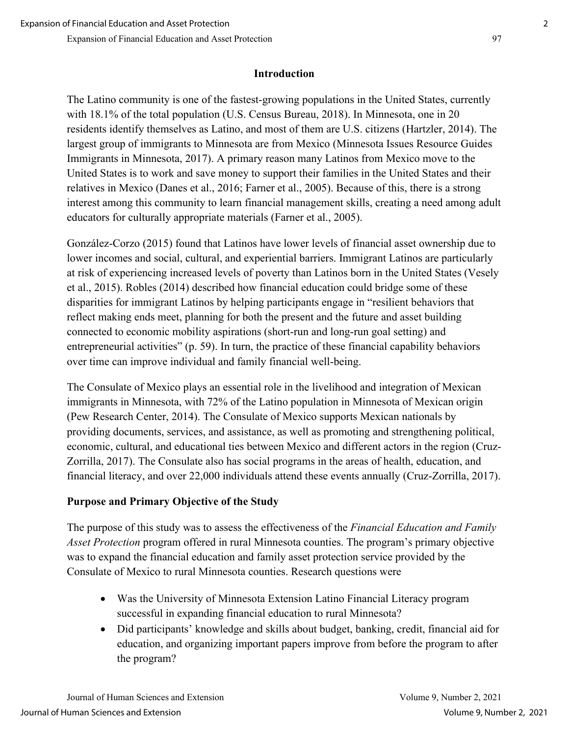## **Introduction**

The Latino community is one of the fastest-growing populations in the United States, currently with 18.1% of the total population (U.S. Census Bureau, 2018). In Minnesota, one in 20 residents identify themselves as Latino, and most of them are U.S. citizens (Hartzler, 2014). The largest group of immigrants to Minnesota are from Mexico (Minnesota Issues Resource Guides Immigrants in Minnesota, 2017). A primary reason many Latinos from Mexico move to the United States is to work and save money to support their families in the United States and their relatives in Mexico (Danes et al., 2016; Farner et al., 2005). Because of this, there is a strong interest among this community to learn financial management skills, creating a need among adult educators for culturally appropriate materials (Farner et al., 2005).

González-Corzo (2015) found that Latinos have lower levels of financial asset ownership due to lower incomes and social, cultural, and experiential barriers. Immigrant Latinos are particularly at risk of experiencing increased levels of poverty than Latinos born in the United States (Vesely et al., 2015). Robles (2014) described how financial education could bridge some of these disparities for immigrant Latinos by helping participants engage in "resilient behaviors that reflect making ends meet, planning for both the present and the future and asset building connected to economic mobility aspirations (short-run and long-run goal setting) and entrepreneurial activities" (p. 59). In turn, the practice of these financial capability behaviors over time can improve individual and family financial well-being.

The Consulate of Mexico plays an essential role in the livelihood and integration of Mexican immigrants in Minnesota, with 72% of the Latino population in Minnesota of Mexican origin (Pew Research Center, 2014). The Consulate of Mexico supports Mexican nationals by providing documents, services, and assistance, as well as promoting and strengthening political, economic, cultural, and educational ties between Mexico and different actors in the region (Cruz-Zorrilla, 2017). The Consulate also has social programs in the areas of health, education, and financial literacy, and over 22,000 individuals attend these events annually (Cruz-Zorrilla, 2017).

## **Purpose and Primary Objective of the Study**

The purpose of this study was to assess the effectiveness of the *Financial Education and Family Asset Protection* program offered in rural Minnesota counties. The program's primary objective was to expand the financial education and family asset protection service provided by the Consulate of Mexico to rural Minnesota counties. Research questions were

- Was the University of Minnesota Extension Latino Financial Literacy program successful in expanding financial education to rural Minnesota?
- Did participants' knowledge and skills about budget, banking, credit, financial aid for education, and organizing important papers improve from before the program to after the program?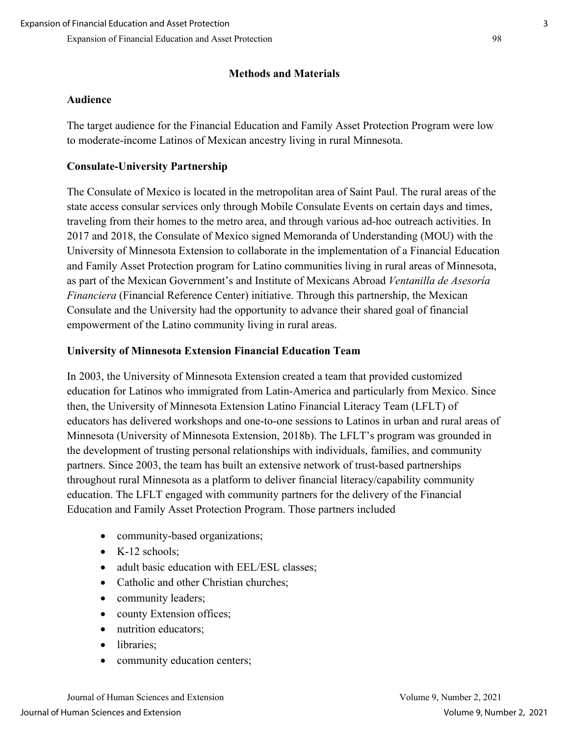## **Methods and Materials**

## **Audience**

The target audience for the Financial Education and Family Asset Protection Program were low to moderate-income Latinos of Mexican ancestry living in rural Minnesota.

## **Consulate-University Partnership**

The Consulate of Mexico is located in the metropolitan area of Saint Paul. The rural areas of the state access consular services only through Mobile Consulate Events on certain days and times, traveling from their homes to the metro area, and through various ad-hoc outreach activities. In 2017 and 2018, the Consulate of Mexico signed Memoranda of Understanding (MOU) with the University of Minnesota Extension to collaborate in the implementation of a Financial Education and Family Asset Protection program for Latino communities living in rural areas of Minnesota, as part of the Mexican Government's and Institute of Mexicans Abroad *Ventanilla de Asesoría Financiera* (Financial Reference Center) initiative. Through this partnership, the Mexican Consulate and the University had the opportunity to advance their shared goal of financial empowerment of the Latino community living in rural areas.

## **University of Minnesota Extension Financial Education Team**

In 2003, the University of Minnesota Extension created a team that provided customized education for Latinos who immigrated from Latin-America and particularly from Mexico. Since then, the University of Minnesota Extension Latino Financial Literacy Team (LFLT) of educators has delivered workshops and one-to-one sessions to Latinos in urban and rural areas of Minnesota (University of Minnesota Extension, 2018b). The LFLT's program was grounded in the development of trusting personal relationships with individuals, families, and community partners. Since 2003, the team has built an extensive network of trust-based partnerships throughout rural Minnesota as a platform to deliver financial literacy/capability community education. The LFLT engaged with community partners for the delivery of the Financial Education and Family Asset Protection Program. Those partners included

- community-based organizations;
- K-12 schools;
- adult basic education with EEL/ESL classes;
- Catholic and other Christian churches;
- community leaders;
- county Extension offices;
- nutrition educators;
- libraries:
- community education centers;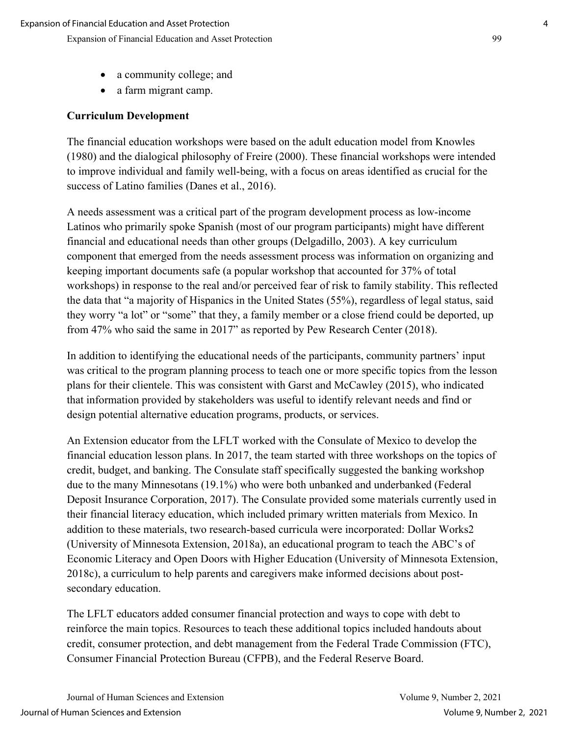- a community college; and
- a farm migrant camp.

## **Curriculum Development**

The financial education workshops were based on the adult education model from Knowles (1980) and the dialogical philosophy of Freire (2000). These financial workshops were intended to improve individual and family well-being, with a focus on areas identified as crucial for the success of Latino families (Danes et al., 2016).

A needs assessment was a critical part of the program development process as low-income Latinos who primarily spoke Spanish (most of our program participants) might have different financial and educational needs than other groups (Delgadillo, 2003). A key curriculum component that emerged from the needs assessment process was information on organizing and keeping important documents safe (a popular workshop that accounted for 37% of total workshops) in response to the real and/or perceived fear of risk to family stability. This reflected the data that "a majority of Hispanics in the United States (55%), regardless of legal status, said they worry "a lot" or "some" that they, a family member or a close friend could be deported, up from 47% who said the same in 2017" as reported by Pew Research Center (2018).

In addition to identifying the educational needs of the participants, community partners' input was critical to the program planning process to teach one or more specific topics from the lesson plans for their clientele. This was consistent with Garst and McCawley (2015), who indicated that information provided by stakeholders was useful to identify relevant needs and find or design potential alternative education programs, products, or services.

An Extension educator from the LFLT worked with the Consulate of Mexico to develop the financial education lesson plans. In 2017, the team started with three workshops on the topics of credit, budget, and banking. The Consulate staff specifically suggested the banking workshop due to the many Minnesotans (19.1%) who were both unbanked and underbanked (Federal Deposit Insurance Corporation, 2017). The Consulate provided some materials currently used in their financial literacy education, which included primary written materials from Mexico. In addition to these materials, two research-based curricula were incorporated: Dollar Works2 (University of Minnesota Extension, 2018a), an educational program to teach the ABC's of Economic Literacy and Open Doors with Higher Education (University of Minnesota Extension, 2018c), a curriculum to help parents and caregivers make informed decisions about postsecondary education.

The LFLT educators added consumer financial protection and ways to cope with debt to reinforce the main topics. Resources to teach these additional topics included handouts about credit, consumer protection, and debt management from the Federal Trade Commission (FTC), Consumer Financial Protection Bureau (CFPB), and the Federal Reserve Board.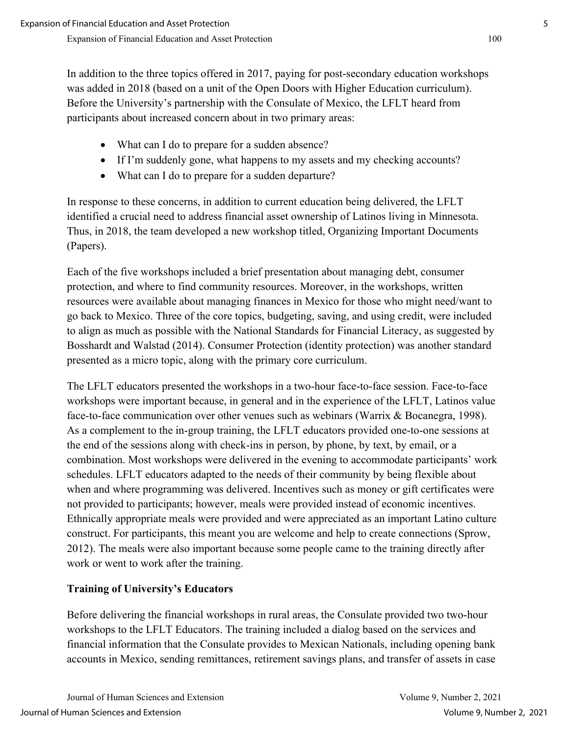In addition to the three topics offered in 2017, paying for post-secondary education workshops was added in 2018 (based on a unit of the Open Doors with Higher Education curriculum). Before the University's partnership with the Consulate of Mexico, the LFLT heard from participants about increased concern about in two primary areas:

- What can I do to prepare for a sudden absence?
- If I'm suddenly gone, what happens to my assets and my checking accounts?
- What can I do to prepare for a sudden departure?

In response to these concerns, in addition to current education being delivered, the LFLT identified a crucial need to address financial asset ownership of Latinos living in Minnesota. Thus, in 2018, the team developed a new workshop titled, Organizing Important Documents (Papers).

Each of the five workshops included a brief presentation about managing debt, consumer protection, and where to find community resources. Moreover, in the workshops, written resources were available about managing finances in Mexico for those who might need/want to go back to Mexico. Three of the core topics, budgeting, saving, and using credit, were included to align as much as possible with the National Standards for Financial Literacy, as suggested by Bosshardt and Walstad (2014). Consumer Protection (identity protection) was another standard presented as a micro topic, along with the primary core curriculum.

The LFLT educators presented the workshops in a two-hour face-to-face session. Face-to-face workshops were important because, in general and in the experience of the LFLT, Latinos value face-to-face communication over other venues such as webinars (Warrix & Bocanegra, 1998). As a complement to the in-group training, the LFLT educators provided one-to-one sessions at the end of the sessions along with check-ins in person, by phone, by text, by email, or a combination. Most workshops were delivered in the evening to accommodate participants' work schedules. LFLT educators adapted to the needs of their community by being flexible about when and where programming was delivered. Incentives such as money or gift certificates were not provided to participants; however, meals were provided instead of economic incentives. Ethnically appropriate meals were provided and were appreciated as an important Latino culture construct. For participants, this meant you are welcome and help to create connections (Sprow, 2012). The meals were also important because some people came to the training directly after work or went to work after the training.

## **Training of University's Educators**

Before delivering the financial workshops in rural areas, the Consulate provided two two-hour workshops to the LFLT Educators. The training included a dialog based on the services and financial information that the Consulate provides to Mexican Nationals, including opening bank accounts in Mexico, sending remittances, retirement savings plans, and transfer of assets in case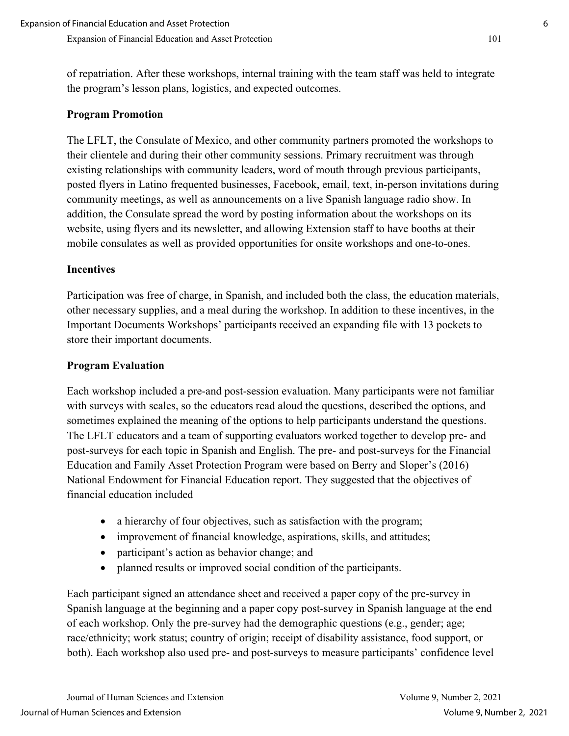of repatriation. After these workshops, internal training with the team staff was held to integrate the program's lesson plans, logistics, and expected outcomes.

#### **Program Promotion**

The LFLT, the Consulate of Mexico, and other community partners promoted the workshops to their clientele and during their other community sessions. Primary recruitment was through existing relationships with community leaders, word of mouth through previous participants, posted flyers in Latino frequented businesses, Facebook, email, text, in-person invitations during community meetings, as well as announcements on a live Spanish language radio show. In addition, the Consulate spread the word by posting information about the workshops on its website, using flyers and its newsletter, and allowing Extension staff to have booths at their mobile consulates as well as provided opportunities for onsite workshops and one-to-ones.

#### **Incentives**

Participation was free of charge, in Spanish, and included both the class, the education materials, other necessary supplies, and a meal during the workshop. In addition to these incentives, in the Important Documents Workshops' participants received an expanding file with 13 pockets to store their important documents.

#### **Program Evaluation**

Each workshop included a pre-and post-session evaluation. Many participants were not familiar with surveys with scales, so the educators read aloud the questions, described the options, and sometimes explained the meaning of the options to help participants understand the questions. The LFLT educators and a team of supporting evaluators worked together to develop pre- and post-surveys for each topic in Spanish and English. The pre- and post-surveys for the Financial Education and Family Asset Protection Program were based on Berry and Sloper's (2016) National Endowment for Financial Education report. They suggested that the objectives of financial education included

- a hierarchy of four objectives, such as satisfaction with the program;
- improvement of financial knowledge, aspirations, skills, and attitudes;
- participant's action as behavior change; and
- planned results or improved social condition of the participants.

Each participant signed an attendance sheet and received a paper copy of the pre-survey in Spanish language at the beginning and a paper copy post-survey in Spanish language at the end of each workshop. Only the pre-survey had the demographic questions (e.g., gender; age; race/ethnicity; work status; country of origin; receipt of disability assistance, food support, or both). Each workshop also used pre- and post-surveys to measure participants' confidence level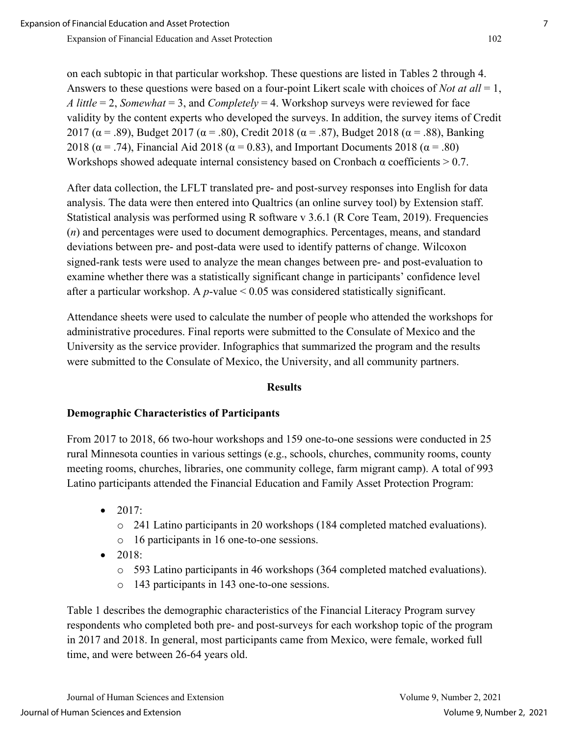on each subtopic in that particular workshop. These questions are listed in Tables 2 through 4. Answers to these questions were based on a four-point Likert scale with choices of *Not at all* = 1, *A little* = 2, *Somewhat* = 3, and *Completely* = 4. Workshop surveys were reviewed for face validity by the content experts who developed the surveys. In addition, the survey items of Credit 2017 ( $\alpha$  = .89), Budget 2017 ( $\alpha$  = .80), Credit 2018 ( $\alpha$  = .87), Budget 2018 ( $\alpha$  = .88), Banking 2018 ( $\alpha$  = .74), Financial Aid 2018 ( $\alpha$  = 0.83), and Important Documents 2018 ( $\alpha$  = .80) Workshops showed adequate internal consistency based on Cronbach  $\alpha$  coefficients  $> 0.7$ .

After data collection, the LFLT translated pre- and post-survey responses into English for data analysis. The data were then entered into Qualtrics (an online survey tool) by Extension staff. Statistical analysis was performed using R software v 3.6.1 (R Core Team, 2019). Frequencies (*n*) and percentages were used to document demographics. Percentages, means, and standard deviations between pre- and post-data were used to identify patterns of change. Wilcoxon signed-rank tests were used to analyze the mean changes between pre- and post-evaluation to examine whether there was a statistically significant change in participants' confidence level after a particular workshop. A *p*-value < 0.05 was considered statistically significant.

Attendance sheets were used to calculate the number of people who attended the workshops for administrative procedures. Final reports were submitted to the Consulate of Mexico and the University as the service provider. Infographics that summarized the program and the results were submitted to the Consulate of Mexico, the University, and all community partners.

#### **Results**

## **Demographic Characteristics of Participants**

From 2017 to 2018, 66 two-hour workshops and 159 one-to-one sessions were conducted in 25 rural Minnesota counties in various settings (e.g., schools, churches, community rooms, county meeting rooms, churches, libraries, one community college, farm migrant camp). A total of 993 Latino participants attended the Financial Education and Family Asset Protection Program:

- 2017:
	- o 241 Latino participants in 20 workshops (184 completed matched evaluations).
	- o 16 participants in 16 one-to-one sessions.
- 2018:
	- o 593 Latino participants in 46 workshops (364 completed matched evaluations).
	- o 143 participants in 143 one-to-one sessions.

Table 1 describes the demographic characteristics of the Financial Literacy Program survey respondents who completed both pre- and post-surveys for each workshop topic of the program in 2017 and 2018. In general, most participants came from Mexico, were female, worked full time, and were between 26-64 years old.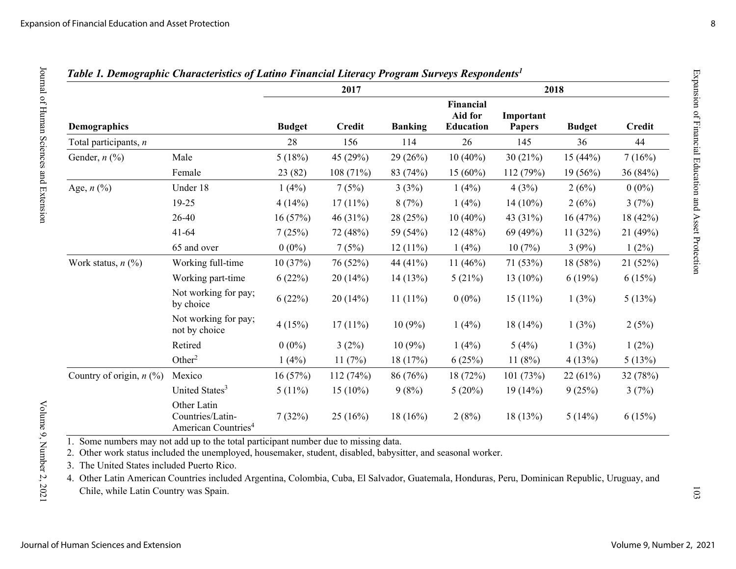|                            |                                                                    |               | 2017          |                | 2018                                     |                            |               |               |  |  |
|----------------------------|--------------------------------------------------------------------|---------------|---------------|----------------|------------------------------------------|----------------------------|---------------|---------------|--|--|
| <b>Demographics</b>        |                                                                    | <b>Budget</b> | <b>Credit</b> | <b>Banking</b> | Financial<br>Aid for<br><b>Education</b> | Important<br><b>Papers</b> | <b>Budget</b> | <b>Credit</b> |  |  |
| Total participants, n      |                                                                    | 28            | 156           | 114            | 26                                       | 145                        | 36            | 44            |  |  |
| Gender, $n$ $(\%)$         | Male                                                               | 5(18%)        | 45 (29%)      | 29(26%)        | $10(40\%)$                               | 30(21%)                    | 15(44%)       | 7(16%)        |  |  |
|                            | Female                                                             | 23 (82)       | 108 (71%)     | 83 (74%)       | $15(60\%)$                               | 112 (79%)                  | $19(56\%)$    | 36 (84%)      |  |  |
| Age, $n$ (%)               | Under 18                                                           | 1(4%)         | 7(5%)         | 3(3%)          | 1(4%)                                    | 4(3%)                      | 2(6%)         | $0(0\%)$      |  |  |
|                            | 19-25                                                              | 4(14%)        | 17(11%)       | 8(7%)          | 1(4%)                                    | $14(10\%)$                 | 2(6%)         | 3(7%)         |  |  |
|                            | 26-40                                                              | 16(57%)       | 46 (31%)      | 28 (25%)       | $10(40\%)$                               | 43 (31%)                   | 16(47%)       | 18 (42%)      |  |  |
|                            | $41 - 64$                                                          | 7(25%)        | 72 (48%)      | 59 (54%)       | 12(48%)                                  | 69 (49%)                   | 11(32%)       | 21 (49%)      |  |  |
|                            | 65 and over                                                        | $0(0\%)$      | 7(5%)         | 12(11%)        | 1(4%)                                    | 10(7%)                     | 3(9%)         | $1(2\%)$      |  |  |
| Work status, $n$ (%)       | Working full-time                                                  | 10(37%)       | 76 (52%)      | 44 (41%)       | $11(46\%)$                               | 71 (53%)                   | 18 (58%)      | 21(52%)       |  |  |
|                            | Working part-time                                                  | 6(22%)        | 20(14%)       | 14(13%)        | 5(21%)                                   | $13(10\%)$                 | 6(19%)        | 6(15%)        |  |  |
|                            | Not working for pay;<br>by choice                                  | 6(22%)        | 20(14%)       | 11 $(11\%)$    | $0(0\%)$                                 | $15(11\%)$                 | 1(3%)         | 5(13%)        |  |  |
|                            | Not working for pay;<br>not by choice                              | 4(15%)        | $17(11\%)$    | 10(9%)         | 1(4%)                                    | $18(14\%)$                 | 1(3%)         | 2(5%)         |  |  |
|                            | Retired                                                            | $0(0\%)$      | 3(2%)         | $10(9\%)$      | 1(4%)                                    | 5(4%)                      | 1(3%)         | $1(2\%)$      |  |  |
|                            | Other <sup>2</sup>                                                 | 1(4%)         | 11(7%)        | 18 (17%)       | 6(25%)                                   | 11(8%)                     | 4(13%)        | 5(13%)        |  |  |
| Country of origin, $n$ (%) | Mexico                                                             | 16(57%)       | 112(74%)      | 86 (76%)       | 18 (72%)                                 | 101(73%)                   | 22(61%)       | 32 (78%)      |  |  |
|                            | United States <sup>3</sup>                                         | $5(11\%)$     | $15(10\%)$    | 9(8%)          | 5(20%)                                   | 19(14%)                    | 9(25%)        | 3(7%)         |  |  |
|                            | Other Latin<br>Countries/Latin-<br>American Countries <sup>4</sup> | 7(32%)        | 25(16%)       | $18(16\%)$     | 2(8%)                                    | 18(13%)                    | 5(14%)        | 6(15%)        |  |  |

## *Table 1. Demographic Characteristics of Latino Financial Literacy Program Surveys Respondents<sup>1</sup>*

1. Some numbers may not add up to the total participant number due to missing data.

2. Other work status included the unemployed, housemaker, student, disabled, babysitter, and seasonal worker.

3. The United States included Puerto Rico.

4. Other Latin American Countries included Argentina, Colombia, Cuba, El Salvador, Guatemala, Honduras, Peru, Dominican Republic, Uruguay, and Chile, while Latin Country was Spain.

Journal of Human Sciences and Extension

103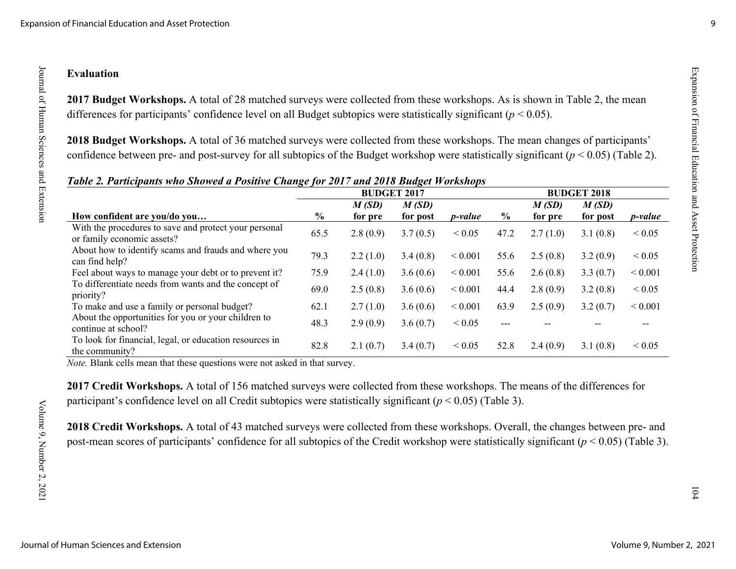## **Evaluation**

**2017 Budget Workshops.** A total of 28 matched surveys were collected from these workshops. As is shown in Table 2, the mean differences for participants' confidence level on all Budget subtopics were statistically significant (*p* < 0.05).

**2018 Budget Workshops.** A total of 36 matched surveys were collected from these workshops. The mean changes of participants' confidence between pre- and post-survey for all subtopics of the Budget workshop were statistically significant (*p* < 0.05) (Table 2).

|                                                                                     | <b>BUDGET 2017</b> |          |          |                 |               | <b>BUDGET 2018</b> |          |                  |  |  |  |
|-------------------------------------------------------------------------------------|--------------------|----------|----------|-----------------|---------------|--------------------|----------|------------------|--|--|--|
|                                                                                     |                    | M(SD)    | M(SD)    |                 |               | M(SD)              | M(SD)    |                  |  |  |  |
| How confident are you/do you                                                        | $\%$               | for pre  | for post | <i>p</i> -value | $\frac{0}{0}$ | for pre            | for post | <i>p</i> -value  |  |  |  |
| With the procedures to save and protect your personal<br>or family economic assets? | 65.5               | 2.8(0.9) | 3.7(0.5) | ${}_{0.05}$     | 47.2          | 2.7(1.0)           | 3.1(0.8) | ${}_{0.05}$      |  |  |  |
| About how to identify scams and frauds and where you<br>can find help?              | 79.3               | 2.2(1.0) | 3.4(0.8) | ${}_{0.001}$    | 55.6          | 2.5(0.8)           | 3.2(0.9) | ${}_{\leq 0.05}$ |  |  |  |
| Feel about ways to manage your debt or to prevent it?                               | 75.9               | 2.4(1.0) | 3.6(0.6) | ${}_{0.001}$    | 55.6          | 2.6(0.8)           | 3.3(0.7) | ${}< 0.001$      |  |  |  |
| To differentiate needs from wants and the concept of<br>priority?                   | 69.0               | 2.5(0.8) | 3.6(0.6) | ${}_{0.001}$    | 44.4          | 2.8(0.9)           | 3.2(0.8) | ${}< 0.05$       |  |  |  |
| To make and use a family or personal budget?                                        | 62.1               | 2.7(1.0) | 3.6(0.6) | ${}_{0.001}$    | 63.9          | 2.5(0.9)           | 3.2(0.7) | ${}< 0.001$      |  |  |  |
| About the opportunities for you or your children to<br>continue at school?          | 48.3               | 2.9(0.9) | 3.6(0.7) | ${}< 0.05$      | $---$         |                    |          |                  |  |  |  |
| To look for financial, legal, or education resources in<br>the community?           | 82.8               | 2.1(0.7) | 3.4(0.7) | ${}_{0.05}$     | 52.8          | 2.4(0.9)           | 3.1(0.8) | ${}_{0.05}$      |  |  |  |

## *Table 2. Participants who Showed a Positive Change for 2017 and 2018 Budget Workshops*

*Note.* Blank cells mean that these questions were not asked in that survey.

**2017 Credit Workshops.** A total of 156 matched surveys were collected from these workshops. The means of the differences for participant's confidence level on all Credit subtopics were statistically significant (*p* < 0.05) (Table 3).

**2018 Credit Workshops.** A total of 43 matched surveys were collected from these workshops. Overall, the changes between pre- and post-mean scores of participants' confidence for all subtopics of the Credit workshop were statistically significant (*p* < 0.05) (Table 3).  $ESR$  and  $ER$  in  $\alpha$  and  $\beta$  and  $\beta$  and  $\beta$  and  $\beta$  asset  $\beta$  rotection and  $\beta$  asset  $\beta$  rotection  $\alpha$  in  $\alpha$  and  $\beta$ 

 $104$ 

Expansion of Financial Education and Asset Protection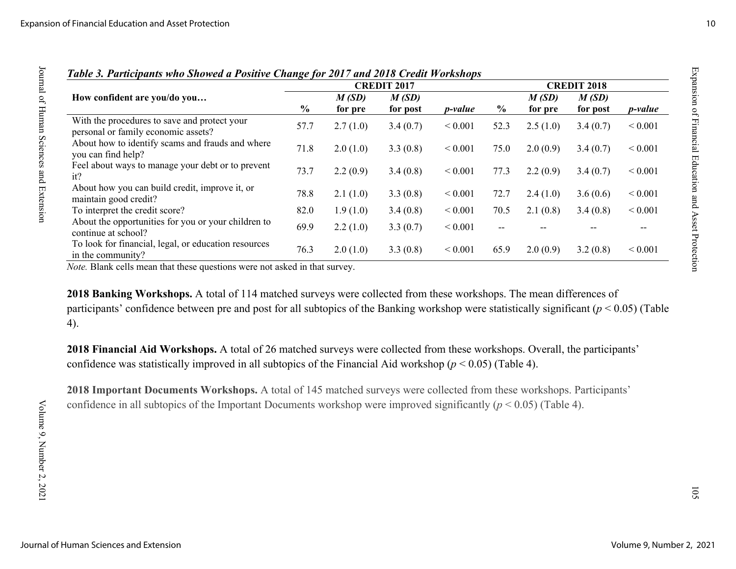|                                                                                     |                |                  | <b>CREDIT 2017</b> | <b>CREDIT 2018</b> |               |                  |                   |                 |
|-------------------------------------------------------------------------------------|----------------|------------------|--------------------|--------------------|---------------|------------------|-------------------|-----------------|
| How confident are you/do you                                                        | $\frac{6}{10}$ | M(SD)<br>for pre | M(SD)<br>for post  | <i>p</i> -value    | $\frac{0}{0}$ | M(SD)<br>for pre | M(SD)<br>for post | <i>p</i> -value |
| With the procedures to save and protect your<br>personal or family economic assets? | 57.7           | 2.7(1.0)         | 3.4(0.7)           | ${}< 0.001$        | 52.3          | 2.5(1.0)         | 3.4(0.7)          | ${}< 0.001$     |
| About how to identify scams and frauds and where<br>you can find help?              | 71.8           | 2.0(1.0)         | 3.3(0.8)           | ${}_{0.001}$       | 75.0          | 2.0(0.9)         | 3.4(0.7)          | ${}< 0.001$     |
| Feel about ways to manage your debt or to prevent<br>it?                            | 73.7           | 2.2(0.9)         | 3.4(0.8)           | ${}_{0.001}$       | 77.3          | 2.2(0.9)         | 3.4(0.7)          | ${}< 0.001$     |
| About how you can build credit, improve it, or<br>maintain good credit?             | 78.8           | 2.1(1.0)         | 3.3(0.8)           | ${}_{0.001}$       | 72.7          | 2.4(1.0)         | 3.6(0.6)          | ${}< 0.001$     |
| To interpret the credit score?                                                      | 82.0           | 1.9(1.0)         | 3.4(0.8)           | ${}_{0.001}$       | 70.5          | 2.1(0.8)         | 3.4(0.8)          | ${}< 0.001$     |
| About the opportunities for you or your children to<br>continue at school?          | 69.9           | 2.2(1.0)         | 3.3(0.7)           | ${}< 0.001$        | $- -$         |                  |                   | --              |
| To look for financial, legal, or education resources<br>in the community?           | 76.3           | 2.0(1.0)         | 3.3(0.8)           | ${}_{0.001}$       | 65.9          | 2.0(0.9)         | 3.2(0.8)          | ${}< 0.001$     |

## *Table 3. Participants who Showed a Positive Change for 2017 and 2018 Credit Workshops*

*Note.* Blank cells mean that these questions were not asked in that survey.

**2018 Banking Workshops.** A total of 114 matched surveys were collected from these workshops. The mean differences of participants' confidence between pre and post for all subtopics of the Banking workshop were statistically significant (*p* < 0.05) (Table 4).

**2018 Financial Aid Workshops.** A total of 26 matched surveys were collected from these workshops. Overall, the participants' confidence was statistically improved in all subtopics of the Financial Aid workshop (*p* < 0.05) (Table 4).

**2018 Important Documents Workshops.** A total of 145 matched surveys were collected from these workshops. Participants' confidence in all subtopics of the Important Documents workshop were improved significantly (*p* < 0.05) (Table 4).

 $ESR$  is a set  $E$  and  $E$  and  $E$  and  $E$  as  $E$  and  $E$  as  $E$  of  $E$  and  $E$  as  $E$  of  $E$  and  $E$  and  $E$  and  $E$  and  $E$  and  $E$  and  $E$  and  $E$  and  $E$  and  $E$  and  $E$  and  $E$  and  $E$  and  $E$  and  $E$  and  $E$  and  $E$ 

 $501$ 

Expansion of Financial Education and Asset Protection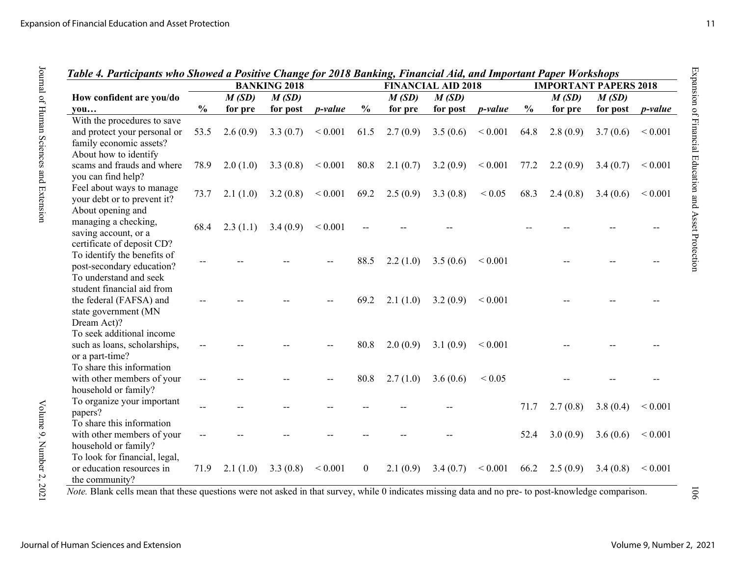|                                                                                             | Table 4. Participants who Showed a Positive Change for 2018 Banking, Financial Aid, and Important Paper Workshops<br><b>BANKING 2018</b> |          |          |              |                | <b>FINANCIAL AID 2018</b> |          |                 |               | <b>IMPORTANT PAPERS 2018</b> |          |             |  |
|---------------------------------------------------------------------------------------------|------------------------------------------------------------------------------------------------------------------------------------------|----------|----------|--------------|----------------|---------------------------|----------|-----------------|---------------|------------------------------|----------|-------------|--|
| How confident are you/do                                                                    |                                                                                                                                          | M(SD)    | M(SD)    |              |                | M(SD)                     | M(SD)    |                 |               | M(SD)                        | M(SD)    |             |  |
| you                                                                                         | $\frac{0}{0}$                                                                                                                            | for pre  | for post | p-value      | $\frac{0}{0}$  | for pre                   | for post | <i>p</i> -value | $\frac{0}{0}$ | for pre                      | for post | p-value     |  |
| With the procedures to save                                                                 |                                                                                                                                          |          |          |              |                |                           |          |                 |               |                              |          |             |  |
| and protect your personal or<br>family economic assets?                                     | 53.5                                                                                                                                     | 2.6(0.9) | 3.3(0.7) | ${}_{0.001}$ | 61.5           | 2.7(0.9)                  | 3.5(0.6) | ${}< 0.001$     | 64.8          | 2.8(0.9)                     | 3.7(0.6) | ${}< 0.001$ |  |
| About how to identify<br>scams and frauds and where<br>you can find help?                   | 78.9                                                                                                                                     | 2.0(1.0) | 3.3(0.8) | ${}< 0.001$  | 80.8           | 2.1(0.7)                  | 3.2(0.9) | ${}< 0.001$     | 77.2          | 2.2(0.9)                     | 3.4(0.7) | ${}< 0.001$ |  |
| Feel about ways to manage<br>your debt or to prevent it?<br>About opening and               | 73.7                                                                                                                                     | 2.1(1.0) | 3.2(0.8) | ${}_{0.001}$ | 69.2           | 2.5(0.9)                  | 3.3(0.8) | ${}< 0.05$      | 68.3          | 2.4(0.8)                     | 3.4(0.6) | < 0.001     |  |
| managing a checking,<br>saving account, or a<br>certificate of deposit CD?                  | 68.4                                                                                                                                     | 2.3(1.1) | 3.4(0.9) | ${}< 0.001$  |                |                           |          |                 |               |                              |          |             |  |
| To identify the benefits of<br>post-secondary education?<br>To understand and seek          |                                                                                                                                          |          |          |              | 88.5           | 2.2(1.0)                  | 3.5(0.6) | ${}< 0.001$     |               |                              |          |             |  |
| student financial aid from<br>the federal (FAFSA) and<br>state government (MN               |                                                                                                                                          |          |          |              | 69.2           | 2.1(1.0)                  | 3.2(0.9) | ${}_{0.001}$    |               |                              |          |             |  |
| Dream Act)?<br>To seek additional income<br>such as loans, scholarships,<br>or a part-time? |                                                                                                                                          |          |          |              | 80.8           | 2.0(0.9)                  | 3.1(0.9) | ${}< 0.001$     |               |                              |          |             |  |
| To share this information<br>with other members of your<br>household or family?             |                                                                                                                                          |          |          |              | 80.8           | 2.7(1.0)                  | 3.6(0.6) | ${}< 0.05$      |               |                              |          |             |  |
| To organize your important<br>papers?                                                       |                                                                                                                                          |          |          |              |                |                           |          |                 | 71.7          | 2.7(0.8)                     | 3.8(0.4) | ${}< 0.001$ |  |
| To share this information<br>with other members of your<br>household or family?             |                                                                                                                                          |          |          |              |                |                           |          |                 | 52.4          | 3.0(0.9)                     | 3.6(0.6) | ${}< 0.001$ |  |
| To look for financial, legal,<br>or education resources in<br>the community?                | 71.9                                                                                                                                     | 2.1(1.0) | 3.3(0.8) | < 0.001      | $\overline{0}$ | 2.1(0.9)                  | 3.4(0.7) | ${}_{0.001}$    | 66.2          | 2.5(0.9)                     | 3.4(0.8) | ${}< 0.001$ |  |

*Table 4. Participants who Showed a Positive Change for 2018 Banking, Financial Aid, and Important Paper Workshops* 

*Note.* Blank cells mean that these questions were not asked in that survey, while 0 indicates missing data and no pre- to post-knowledge comparison.

Journal of Human Sciences and Extension

Journal of Human Sciences and Extension **Volume 9, Number 2, 2021** 

 $901$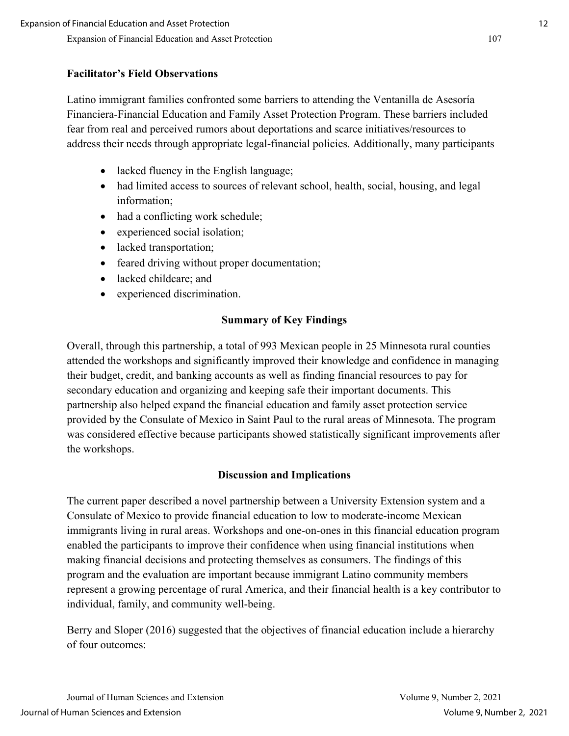## **Facilitator's Field Observations**

Latino immigrant families confronted some barriers to attending the Ventanilla de Asesoría Financiera-Financial Education and Family Asset Protection Program. These barriers included fear from real and perceived rumors about deportations and scarce initiatives/resources to address their needs through appropriate legal-financial policies. Additionally, many participants

- lacked fluency in the English language;
- had limited access to sources of relevant school, health, social, housing, and legal information;
- had a conflicting work schedule;
- experienced social isolation;
- lacked transportation;
- feared driving without proper documentation;
- lacked childcare; and
- experienced discrimination.

## **Summary of Key Findings**

Overall, through this partnership, a total of 993 Mexican people in 25 Minnesota rural counties attended the workshops and significantly improved their knowledge and confidence in managing their budget, credit, and banking accounts as well as finding financial resources to pay for secondary education and organizing and keeping safe their important documents. This partnership also helped expand the financial education and family asset protection service provided by the Consulate of Mexico in Saint Paul to the rural areas of Minnesota. The program was considered effective because participants showed statistically significant improvements after the workshops.

## **Discussion and Implications**

The current paper described a novel partnership between a University Extension system and a Consulate of Mexico to provide financial education to low to moderate-income Mexican immigrants living in rural areas. Workshops and one-on-ones in this financial education program enabled the participants to improve their confidence when using financial institutions when making financial decisions and protecting themselves as consumers. The findings of this program and the evaluation are important because immigrant Latino community members represent a growing percentage of rural America, and their financial health is a key contributor to individual, family, and community well-being.

Berry and Sloper (2016) suggested that the objectives of financial education include a hierarchy of four outcomes: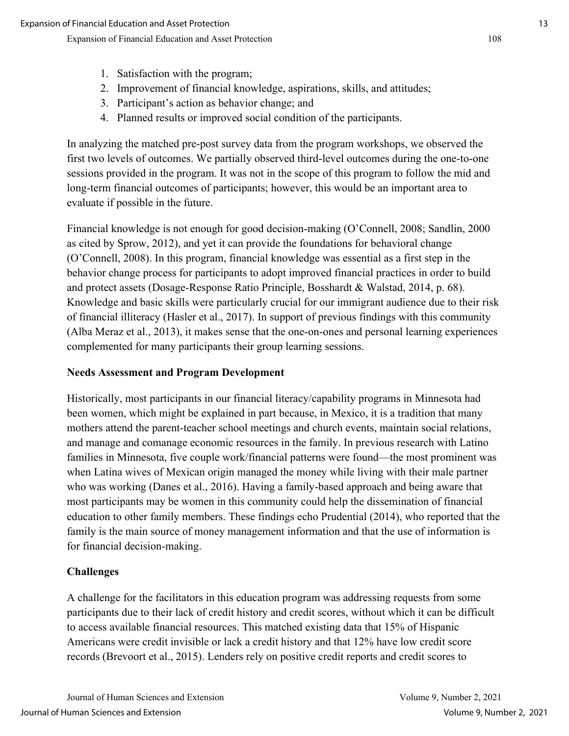- 2. Improvement of financial knowledge, aspirations, skills, and attitudes;
- 3. Participant's action as behavior change; and
- 4. Planned results or improved social condition of the participants.

In analyzing the matched pre-post survey data from the program workshops, we observed the first two levels of outcomes. We partially observed third-level outcomes during the one-to-one sessions provided in the program. It was not in the scope of this program to follow the mid and long-term financial outcomes of participants; however, this would be an important area to evaluate if possible in the future.

Financial knowledge is not enough for good decision-making (O'Connell, 2008; Sandlin, 2000 as cited by Sprow, 2012), and yet it can provide the foundations for behavioral change (O'Connell, 2008). In this program, financial knowledge was essential as a first step in the behavior change process for participants to adopt improved financial practices in order to build and protect assets (Dosage-Response Ratio Principle, Bosshardt & Walstad, 2014, p. 68). Knowledge and basic skills were particularly crucial for our immigrant audience due to their risk of financial illiteracy (Hasler et al., 2017). In support of previous findings with this community (Alba Meraz et al., 2013), it makes sense that the one-on-ones and personal learning experiences complemented for many participants their group learning sessions.

## **Needs Assessment and Program Development**

Historically, most participants in our financial literacy/capability programs in Minnesota had been women, which might be explained in part because, in Mexico, it is a tradition that many mothers attend the parent-teacher school meetings and church events, maintain social relations, and manage and comanage economic resources in the family. In previous research with Latino families in Minnesota, five couple work/financial patterns were found—the most prominent was when Latina wives of Mexican origin managed the money while living with their male partner who was working (Danes et al., 2016). Having a family-based approach and being aware that most participants may be women in this community could help the dissemination of financial education to other family members. These findings echo Prudential (2014), who reported that the family is the main source of money management information and that the use of information is for financial decision-making.

## **Challenges**

A challenge for the facilitators in this education program was addressing requests from some participants due to their lack of credit history and credit scores, without which it can be difficult to access available financial resources. This matched existing data that 15% of Hispanic Americans were credit invisible or lack a credit history and that 12% have low credit score records (Brevoort et al., 2015). Lenders rely on positive credit reports and credit scores to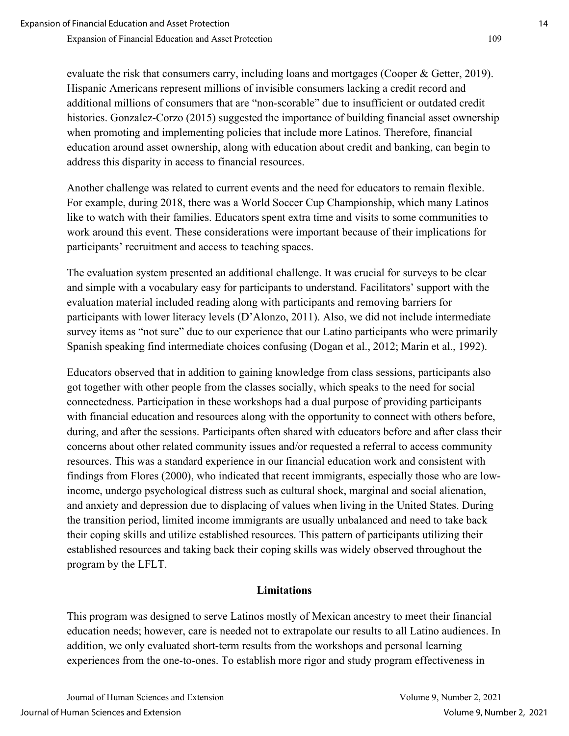evaluate the risk that consumers carry, including loans and mortgages (Cooper & Getter, 2019). Hispanic Americans represent millions of invisible consumers lacking a credit record and additional millions of consumers that are "non-scorable" due to insufficient or outdated credit histories. Gonzalez-Corzo (2015) suggested the importance of building financial asset ownership when promoting and implementing policies that include more Latinos. Therefore, financial education around asset ownership, along with education about credit and banking, can begin to address this disparity in access to financial resources.

Another challenge was related to current events and the need for educators to remain flexible. For example, during 2018, there was a World Soccer Cup Championship, which many Latinos like to watch with their families. Educators spent extra time and visits to some communities to work around this event. These considerations were important because of their implications for participants' recruitment and access to teaching spaces.

The evaluation system presented an additional challenge. It was crucial for surveys to be clear and simple with a vocabulary easy for participants to understand. Facilitators' support with the evaluation material included reading along with participants and removing barriers for participants with lower literacy levels (D'Alonzo, 2011). Also, we did not include intermediate survey items as "not sure" due to our experience that our Latino participants who were primarily Spanish speaking find intermediate choices confusing (Dogan et al., 2012; Marin et al., 1992).

Educators observed that in addition to gaining knowledge from class sessions, participants also got together with other people from the classes socially, which speaks to the need for social connectedness. Participation in these workshops had a dual purpose of providing participants with financial education and resources along with the opportunity to connect with others before, during, and after the sessions. Participants often shared with educators before and after class their concerns about other related community issues and/or requested a referral to access community resources. This was a standard experience in our financial education work and consistent with findings from Flores (2000), who indicated that recent immigrants, especially those who are lowincome, undergo psychological distress such as cultural shock, marginal and social alienation, and anxiety and depression due to displacing of values when living in the United States. During the transition period, limited income immigrants are usually unbalanced and need to take back their coping skills and utilize established resources. This pattern of participants utilizing their established resources and taking back their coping skills was widely observed throughout the program by the LFLT.

## **Limitations**

This program was designed to serve Latinos mostly of Mexican ancestry to meet their financial education needs; however, care is needed not to extrapolate our results to all Latino audiences. In addition, we only evaluated short-term results from the workshops and personal learning experiences from the one-to-ones. To establish more rigor and study program effectiveness in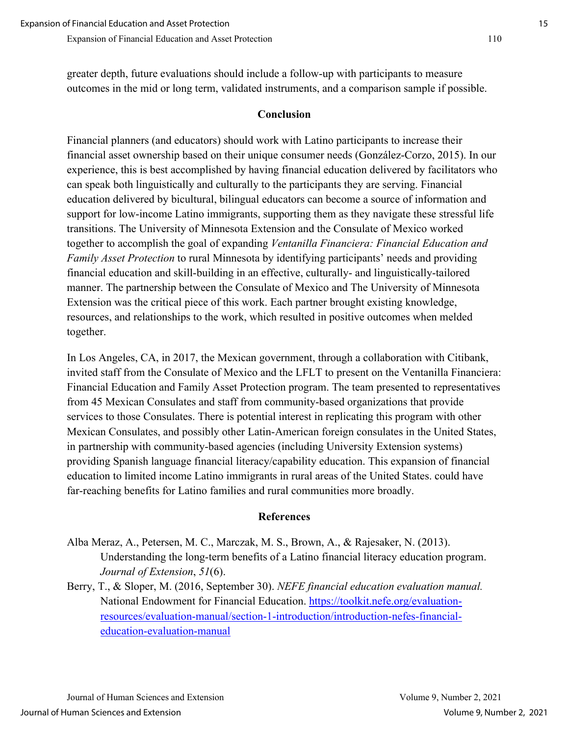greater depth, future evaluations should include a follow-up with participants to measure outcomes in the mid or long term, validated instruments, and a comparison sample if possible.

## **Conclusion**

Financial planners (and educators) should work with Latino participants to increase their financial asset ownership based on their unique consumer needs (González-Corzo, 2015). In our experience, this is best accomplished by having financial education delivered by facilitators who can speak both linguistically and culturally to the participants they are serving. Financial education delivered by bicultural, bilingual educators can become a source of information and support for low-income Latino immigrants, supporting them as they navigate these stressful life transitions. The University of Minnesota Extension and the Consulate of Mexico worked together to accomplish the goal of expanding *Ventanilla Financiera: Financial Education and Family Asset Protection* to rural Minnesota by identifying participants' needs and providing financial education and skill-building in an effective, culturally- and linguistically-tailored manner. The partnership between the Consulate of Mexico and The University of Minnesota Extension was the critical piece of this work. Each partner brought existing knowledge, resources, and relationships to the work, which resulted in positive outcomes when melded together.

In Los Angeles, CA, in 2017, the Mexican government, through a collaboration with Citibank, invited staff from the Consulate of Mexico and the LFLT to present on the Ventanilla Financiera: Financial Education and Family Asset Protection program. The team presented to representatives from 45 Mexican Consulates and staff from community-based organizations that provide services to those Consulates. There is potential interest in replicating this program with other Mexican Consulates, and possibly other Latin-American foreign consulates in the United States, in partnership with community-based agencies (including University Extension systems) providing Spanish language financial literacy/capability education. This expansion of financial education to limited income Latino immigrants in rural areas of the United States. could have far-reaching benefits for Latino families and rural communities more broadly.

#### **References**

- Alba Meraz, A., Petersen, M. C., Marczak, M. S., Brown, A., & Rajesaker, N. (2013). Understanding the long-term benefits of a Latino financial literacy education program. *Journal of Extension*, *51*(6).
- Berry, T., & Sloper, M. (2016, September 30). *NEFE financial education evaluation manual.* National Endowment for Financial Education. [https://toolkit.nefe.org/evaluation](https://toolkit.nefe.org/evaluation-resources/evaluation-manual/section-1-introduction/introduction-nefes-financial-education-evaluation-manual)[resources/evaluation-manual/section-1-introduction/introduction-nefes-financial](https://toolkit.nefe.org/evaluation-resources/evaluation-manual/section-1-introduction/introduction-nefes-financial-education-evaluation-manual)[education-evaluation-manual](https://toolkit.nefe.org/evaluation-resources/evaluation-manual/section-1-introduction/introduction-nefes-financial-education-evaluation-manual)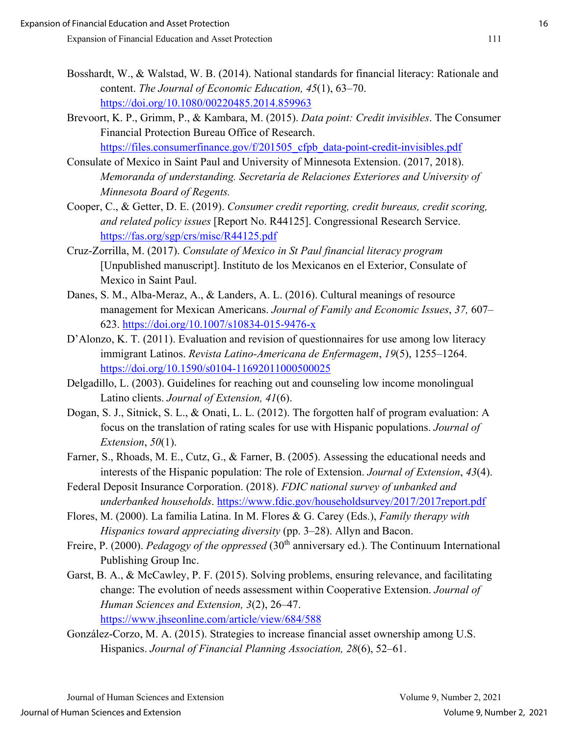- Bosshardt, W., & Walstad, W. B. (2014). National standards for financial literacy: Rationale and content. *The Journal of Economic Education, 45*(1), 63–70. <https://doi.org/10.1080/00220485.2014.859963>
- Brevoort, K. P., Grimm, P., & Kambara, M. (2015). *Data point: Credit invisibles*. The Consumer Financial Protection Bureau Office of Research. https://files.consumerfinance.gov/f/201505 cfpb data-point-credit-invisibles.pdf
- Consulate of Mexico in Saint Paul and University of Minnesota Extension. (2017, 2018). *Memoranda of understanding. Secretaría de Relaciones Exteriores and University of Minnesota Board of Regents.*
- Cooper, C., & Getter, D. E. (2019). *Consumer credit reporting, credit bureaus, credit scoring, and related policy issues* [Report No. R44125]. Congressional Research Service. <https://fas.org/sgp/crs/misc/R44125.pdf>
- Cruz-Zorrilla, M. (2017). *Consulate of Mexico in St Paul financial literacy program*  [Unpublished manuscript]. Instituto de los Mexicanos en el Exterior, Consulate of Mexico in Saint Paul.
- Danes, S. M., Alba-Meraz, A., & Landers, A. L. (2016). Cultural meanings of resource management for Mexican Americans. *Journal of Family and Economic Issues*, *37,* 607– 623.<https://doi.org/10.1007/s10834-015-9476-x>
- D'Alonzo, K. T. (2011). Evaluation and revision of questionnaires for use among low literacy immigrant Latinos. *Revista Latino-Americana de Enfermagem*, *19*(5), 1255–1264. <https://doi.org/10.1590/s0104-11692011000500025>
- Delgadillo, L. (2003). Guidelines for reaching out and counseling low income monolingual Latino clients. *Journal of Extension, 41*(6).
- Dogan, S. J., Sitnick, S. L., & Onati, L. L. (2012). The forgotten half of program evaluation: A focus on the translation of rating scales for use with Hispanic populations. *Journal of Extension*, *50*(1).
- Farner, S., Rhoads, M. E., Cutz, G., & Farner, B. (2005). Assessing the educational needs and interests of the Hispanic population: The role of Extension. *Journal of Extension*, *43*(4).
- Federal Deposit Insurance Corporation. (2018). *FDIC national survey of unbanked and underbanked households*.<https://www.fdic.gov/householdsurvey/2017/2017report.pdf>
- Flores, M. (2000). La familia Latina. In M. Flores & G. Carey (Eds.), *Family therapy with Hispanics toward appreciating diversity* (pp. 3–28). Allyn and Bacon.
- Freire, P. (2000). *Pedagogy of the oppressed* (30<sup>th</sup> anniversary ed.). The Continuum International Publishing Group Inc.
- Garst, B. A., & McCawley, P. F. (2015). Solving problems, ensuring relevance, and facilitating change: The evolution of needs assessment within Cooperative Extension. *Journal of Human Sciences and Extension, 3*(2), 26–47. <https://www.jhseonline.com/article/view/684/588>
- González-Corzo, M. A. (2015). Strategies to increase financial asset ownership among U.S. Hispanics. *Journal of Financial Planning Association, 28*(6), 52–61.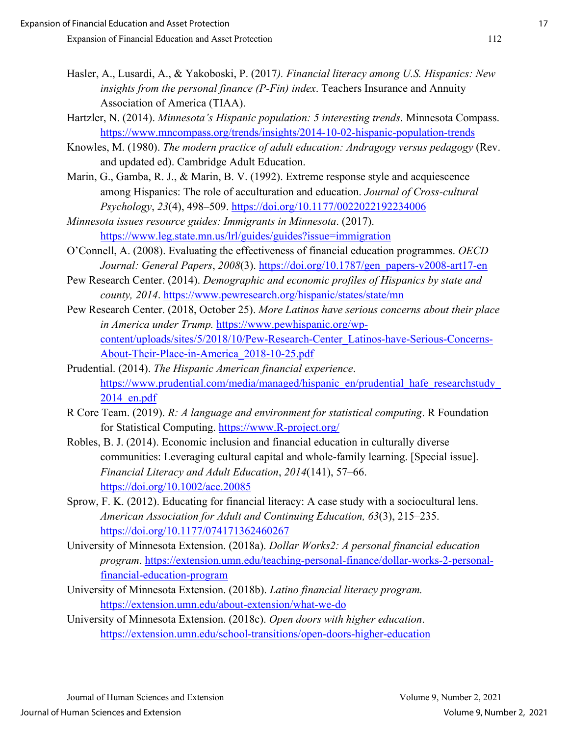- Hasler, A., Lusardi, A., & Yakoboski, P. (2017*). Financial literacy among U.S. Hispanics: New insights from the personal finance (P-Fin) index*. Teachers Insurance and Annuity Association of America (TIAA).
- Hartzler, N. (2014). *Minnesota's Hispanic population: 5 interesting trends*. Minnesota Compass. <https://www.mncompass.org/trends/insights/2014-10-02-hispanic-population-trends>
- Knowles, M. (1980). *The modern practice of adult education: Andragogy versus pedagogy* (Rev. and updated ed). Cambridge Adult Education.
- Marin, G., Gamba, R. J., & Marin, B. V. (1992). Extreme response style and acquiescence among Hispanics: The role of acculturation and education. *Journal of Cross-cultural Psychology*, *23*(4), 498–509.<https://doi.org/10.1177/0022022192234006>
- *Minnesota issues resource guides: Immigrants in Minnesota*. (2017). <https://www.leg.state.mn.us/lrl/guides/guides?issue=immigration>
- O'Connell, A. (2008). Evaluating the effectiveness of financial education programmes. *OECD Journal: General Papers*, *2008*(3). [https://doi.org/10.1787/gen\\_papers-v2008-art17-en](https://doi.org/10.1787/gen_papers-v2008-art17-en)
- Pew Research Center. (2014). *Demographic and economic profiles of Hispanics by state and county, 2014*.<https://www.pewresearch.org/hispanic/states/state/mn>
- Pew Research Center. (2018, October 25). *More Latinos have serious concerns about their place in America under Trump.* [https://www.pewhispanic.org/wp](https://www.pewhispanic.org/wp-content/uploads/sites/5/2018/10/Pew-Research-Center_Latinos-have-Serious-Concerns-About-Their-Place-in-America_2018-10-25.pdf)[content/uploads/sites/5/2018/10/Pew-Research-Center\\_Latinos-have-Serious-Concerns-](https://www.pewhispanic.org/wp-content/uploads/sites/5/2018/10/Pew-Research-Center_Latinos-have-Serious-Concerns-About-Their-Place-in-America_2018-10-25.pdf)[About-Their-Place-in-America\\_2018-10-25.pdf](https://www.pewhispanic.org/wp-content/uploads/sites/5/2018/10/Pew-Research-Center_Latinos-have-Serious-Concerns-About-Their-Place-in-America_2018-10-25.pdf)
- Prudential. (2014). *The Hispanic American financial experience*. https://www.prudential.com/media/managed/hispanic\_en/prudential\_hafe\_researchstudy  $2014$  en.pdf
- R Core Team. (2019). *R: A language and environment for statistical computing*. R Foundation for Statistical Computing. [https://www.R-project.org/](https://www.r-project.org/)
- Robles, B. J. (2014). Economic inclusion and financial education in culturally diverse communities: Leveraging cultural capital and whole-family learning. [Special issue]. *Financial Literacy and Adult Education*, *2014*(141), 57–66. <https://doi.org/10.1002/ace.20085>
- Sprow, F. K. (2012). Educating for financial literacy: A case study with a sociocultural lens. *American Association for Adult and Continuing Education, 63*(3), 215–235. <https://doi.org/10.1177/074171362460267>
- University of Minnesota Extension. (2018a). *Dollar Works2: A personal financial education program*. [https://extension.umn.edu/teaching-personal-finance/dollar-works-2-personal](https://extension.umn.edu/teaching-personal-finance/dollar-works-2-personal-financial-education-program)[financial-education-program](https://extension.umn.edu/teaching-personal-finance/dollar-works-2-personal-financial-education-program)
- University of Minnesota Extension. (2018b). *Latino financial literacy program.* <https://extension.umn.edu/about-extension/what-we-do>
- University of Minnesota Extension. (2018c). *Open doors with higher education*. <https://extension.umn.edu/school-transitions/open-doors-higher-education>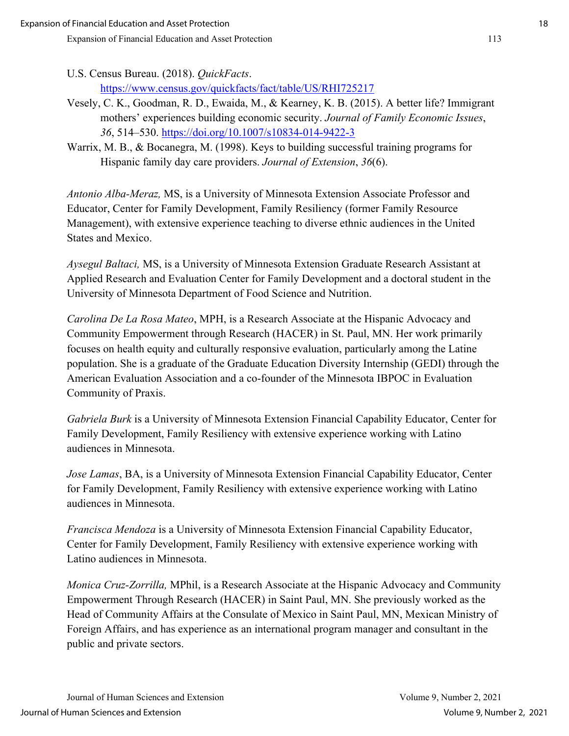U.S. Census Bureau. (2018). *QuickFacts*. <https://www.census.gov/quickfacts/fact/table/US/RHI725217>

- Vesely, C. K., Goodman, R. D., Ewaida, M., & Kearney, K. B. (2015). A better life? Immigrant mothers' experiences building economic security. *Journal of Family Economic Issues*, *36*, 514–530.<https://doi.org/10.1007/s10834-014-9422-3>
- Warrix, M. B., & Bocanegra, M. (1998). Keys to building successful training programs for Hispanic family day care providers. *Journal of Extension*, *36*(6).

*Antonio Alba-Meraz,* MS, is a University of Minnesota Extension Associate Professor and Educator, Center for Family Development, Family Resiliency (former Family Resource Management), with extensive experience teaching to diverse ethnic audiences in the United States and Mexico.

*Aysegul Baltaci,* MS, is a University of Minnesota Extension Graduate Research Assistant at Applied Research and Evaluation Center for Family Development and a doctoral student in the University of Minnesota Department of Food Science and Nutrition.

*Carolina De La Rosa Mateo*, MPH, is a Research Associate at the Hispanic Advocacy and Community Empowerment through Research (HACER) in St. Paul, MN. Her work primarily focuses on health equity and culturally responsive evaluation, particularly among the Latine population. She is a graduate of the Graduate Education Diversity Internship (GEDI) through the American Evaluation Association and a co-founder of the Minnesota IBPOC in Evaluation Community of Praxis.

*Gabriela Burk* is a University of Minnesota Extension Financial Capability Educator, Center for Family Development, Family Resiliency with extensive experience working with Latino audiences in Minnesota.

*Jose Lamas*, BA, is a University of Minnesota Extension Financial Capability Educator, Center for Family Development, Family Resiliency with extensive experience working with Latino audiences in Minnesota.

*Francisca Mendoza* is a University of Minnesota Extension Financial Capability Educator, Center for Family Development, Family Resiliency with extensive experience working with Latino audiences in Minnesota.

*Monica Cruz-Zorrilla,* MPhil, is a Research Associate at the Hispanic Advocacy and Community Empowerment Through Research (HACER) in Saint Paul, MN. She previously worked as the Head of Community Affairs at the Consulate of Mexico in Saint Paul, MN, Mexican Ministry of Foreign Affairs, and has experience as an international program manager and consultant in the public and private sectors.